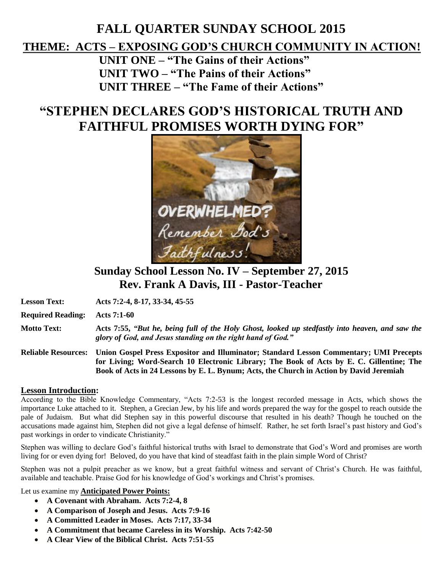## **FALL QUARTER SUNDAY SCHOOL 2015 THEME: ACTS – EXPOSING GOD'S CHURCH COMMUNITY IN ACTION! UNIT ONE – "The Gains of their Actions" UNIT TWO – "The Pains of their Actions"**

**UNIT THREE – "The Fame of their Actions"**

# **"STEPHEN DECLARES GOD'S HISTORICAL TRUTH AND FAITHFUL PROMISES WORTH DYING FOR"**



## **Sunday School Lesson No. IV – September 27, 2015 Rev. Frank A Davis, III - Pastor-Teacher**

**Lesson Text: Acts 7:2-4, 8-17, 33-34, 45-55**

**Required Reading: Acts 7:1-60**

**Motto Text: Acts 7:55,** *"But he, being full of the Holy Ghost, looked up stedfastly into heaven, and saw the glory of God, and Jesus standing on the right hand of God."*

**Reliable Resources: Union Gospel Press Expositor and Illuminator; Standard Lesson Commentary; UMI Precepts for Living; Word-Search 10 Electronic Library; The Book of Acts by E. C. Gillentine; The Book of Acts in 24 Lessons by E. L. Bynum; Acts, the Church in Action by David Jeremiah**

#### **Lesson Introduction:**

According to the Bible Knowledge Commentary, "Acts 7:2-53 is the longest recorded message in Acts, which shows the importance Luke attached to it. Stephen, a Grecian Jew, by his life and words prepared the way for the gospel to reach outside the pale of Judaism. But what did Stephen say in this powerful discourse that resulted in his death? Though he touched on the accusations made against him, Stephen did not give a legal defense of himself. Rather, he set forth Israel's past history and God's past workings in order to vindicate Christianity."

Stephen was willing to declare God's faithful historical truths with Israel to demonstrate that God's Word and promises are worth living for or even dying for! Beloved, do you have that kind of steadfast faith in the plain simple Word of Christ?

Stephen was not a pulpit preacher as we know, but a great faithful witness and servant of Christ's Church. He was faithful, available and teachable. Praise God for his knowledge of God's workings and Christ's promises.

Let us examine my **Anticipated Power Points:** 

- **A Covenant with Abraham. Acts 7:2-4, 8**
- **A Comparison of Joseph and Jesus. Acts 7:9-16**
- **A Committed Leader in Moses. Acts 7:17, 33-34**
- **A Commitment that became Careless in its Worship. Acts 7:42-50**
- **A Clear View of the Biblical Christ. Acts 7:51-55**